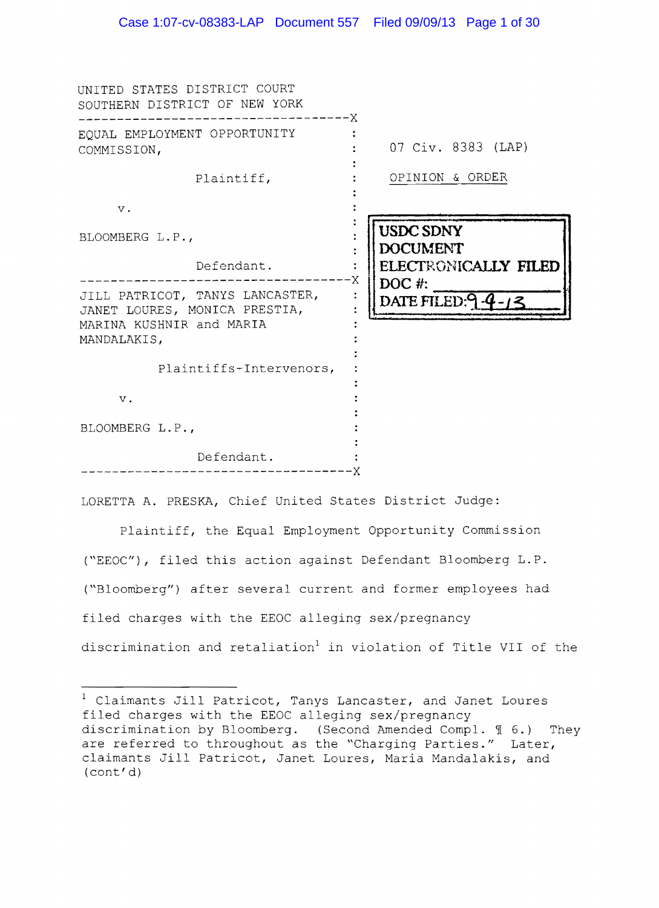| UNITED STATES DISTRICT COURT<br>SOUTHERN DISTRICT OF NEW YORK                                               | X                                               |
|-------------------------------------------------------------------------------------------------------------|-------------------------------------------------|
| EQUAL EMPLOYMENT OPPORTUNITY<br>COMMISSION,                                                                 | 07 Civ. 8383 (LAP)                              |
| Plaintiff,                                                                                                  | OPINION & ORDER                                 |
| $V$ .                                                                                                       |                                                 |
| BLOOMBERG L.P.,                                                                                             | <b>USDC SDNY</b><br><b>DOCUMENT</b>             |
| Defendant.                                                                                                  | ELECTRONICALLY FILED                            |
| JILL PATRICOT, TANYS LANCASTER,<br>JANET LOURES, MONICA PRESTIA,<br>MARINA KUSHNIR and MARIA<br>MANDALAKIS, | Χ<br>DOC #:<br>$\ddot{\cdot}$<br>DATE FILED:9-4 |
| Plaintiffs-Intervenors,                                                                                     |                                                 |
| $V$ .                                                                                                       |                                                 |
| BLOOMBERG L.P.,                                                                                             |                                                 |
| Defendant.                                                                                                  |                                                 |

LORETTA A. PRESKA, Chief United States District Judge:

Plaintiff, Equal Employment Opportunity Commission *("EEOC")*, filed this action against Defendant Bloomberg L.P. ("Bloomberg") after several current and former employees had filed charges with the EEOC alleging sex/pregnancy discrimination and retaliation<sup>1</sup> in violation of Title VII of the

 $1$  Claimants Jill Patricot, Tanys Lancaster, and Janet Loures filed charges with EEOC alleging sex/pregnancy discrimination by Bloomberg. (Second Amended Compl.  $\text{\%}$  6.) They are referred to throughout as the "Charging Parties." Later, claimants Jill Patricot, Janet Loures, Maria Mandalakis, and (cont'd)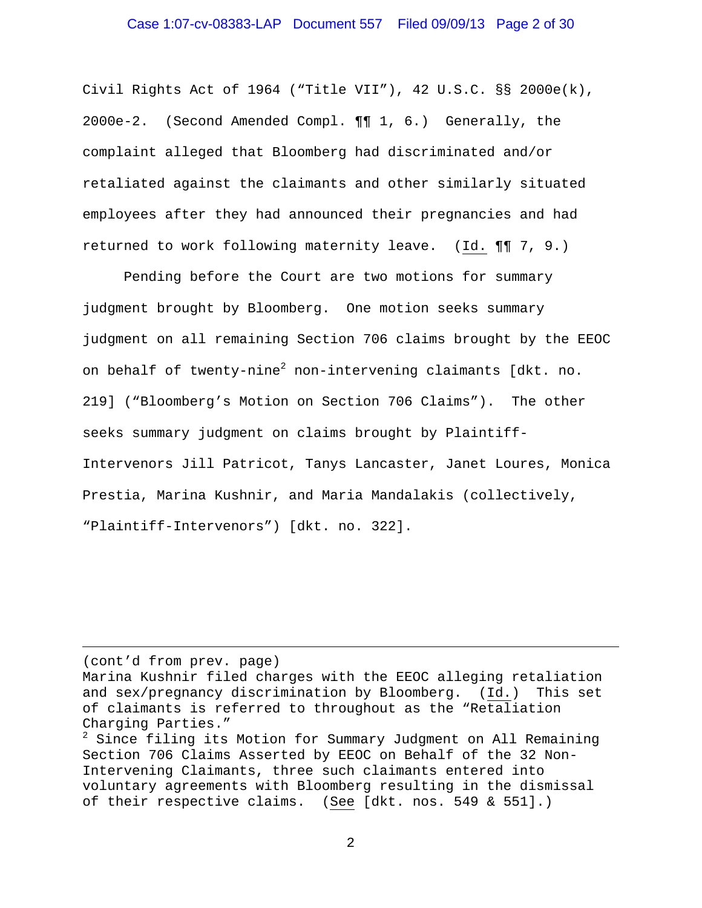Civil Rights Act of 1964 ("Title VII"), 42 U.S.C. §§ 2000e(k), 2000e-2. (Second Amended Compl. ¶¶ 1, 6.) Generally, the complaint alleged that Bloomberg had discriminated and/or retaliated against the claimants and other similarly situated employees after they had announced their pregnancies and had returned to work following maternity leave. (Id. ¶¶ 7, 9.)

 Pending before the Court are two motions for summary judgment brought by Bloomberg. One motion seeks summary judgment on all remaining Section 706 claims brought by the EEOC on behalf of twenty-nine<sup>2</sup> non-intervening claimants [dkt. no. 219] ("Bloomberg's Motion on Section 706 Claims"). The other seeks summary judgment on claims brought by Plaintiff-Intervenors Jill Patricot, Tanys Lancaster, Janet Loures, Monica Prestia, Marina Kushnir, and Maria Mandalakis (collectively, "Plaintiff-Intervenors") [dkt. no. 322].

#### (cont'd from prev. page)

i

Marina Kushnir filed charges with the EEOC alleging retaliation and sex/pregnancy discrimination by Bloomberg. (Id.) This set of claimants is referred to throughout as the "Retaliation Charging Parties."

<sup>&</sup>lt;sup>2</sup> Since filing its Motion for Summary Judgment on All Remaining Section 706 Claims Asserted by EEOC on Behalf of the 32 Non-Intervening Claimants, three such claimants entered into voluntary agreements with Bloomberg resulting in the dismissal of their respective claims. (See [dkt. nos. 549 & 551].)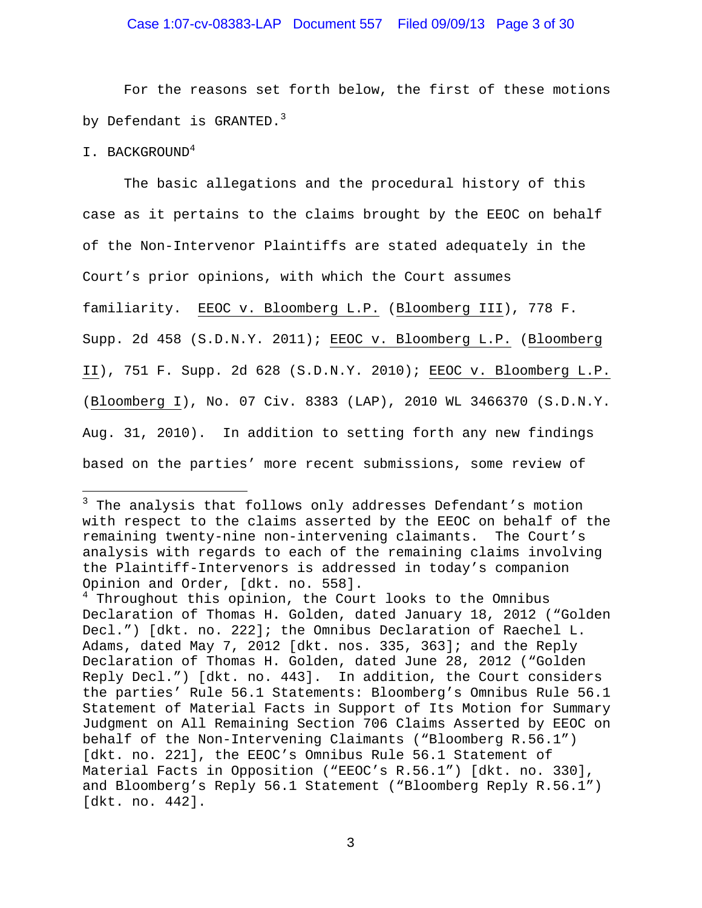# Case 1:07-cv-08383-LAP Document 557 Filed 09/09/13 Page 3 of 30

For the reasons set forth below, the first of these motions by Defendant is GRANTED.<sup>3</sup>

I. BACKGROUND<sup>4</sup>

i<br>Li

The basic allegations and the procedural history of this case as it pertains to the claims brought by the EEOC on behalf of the Non-Intervenor Plaintiffs are stated adequately in the Court's prior opinions, with which the Court assumes familiarity. EEOC v. Bloomberg L.P. (Bloomberg III), 778 F. Supp. 2d 458 (S.D.N.Y. 2011); EEOC v. Bloomberg L.P. (Bloomberg II), 751 F. Supp. 2d 628 (S.D.N.Y. 2010); EEOC v. Bloomberg L.P. (Bloomberg I), No. 07 Civ. 8383 (LAP), 2010 WL 3466370 (S.D.N.Y. Aug. 31, 2010). In addition to setting forth any new findings based on the parties' more recent submissions, some review of

<sup>&</sup>lt;sup>3</sup> The analysis that follows only addresses Defendant's motion with respect to the claims asserted by the EEOC on behalf of the remaining twenty-nine non-intervening claimants. The Court's analysis with regards to each of the remaining claims involving the Plaintiff-Intervenors is addressed in today's companion Opinion and Order, [dkt. no. 558].

<sup>&</sup>lt;sup>4</sup> Throughout this opinion, the Court looks to the Omnibus Declaration of Thomas H. Golden, dated January 18, 2012 ("Golden Decl.") [dkt. no. 222]; the Omnibus Declaration of Raechel L. Adams, dated May 7, 2012 [dkt. nos. 335, 363]; and the Reply Declaration of Thomas H. Golden, dated June 28, 2012 ("Golden Reply Decl.") [dkt. no. 443]. In addition, the Court considers the parties' Rule 56.1 Statements: Bloomberg's Omnibus Rule 56.1 Statement of Material Facts in Support of Its Motion for Summary Judgment on All Remaining Section 706 Claims Asserted by EEOC on behalf of the Non-Intervening Claimants ("Bloomberg R.56.1") [dkt. no. 221], the EEOC's Omnibus Rule 56.1 Statement of Material Facts in Opposition ("EEOC's R.56.1") [dkt. no. 330], and Bloomberg's Reply 56.1 Statement ("Bloomberg Reply R.56.1") [dkt. no. 442].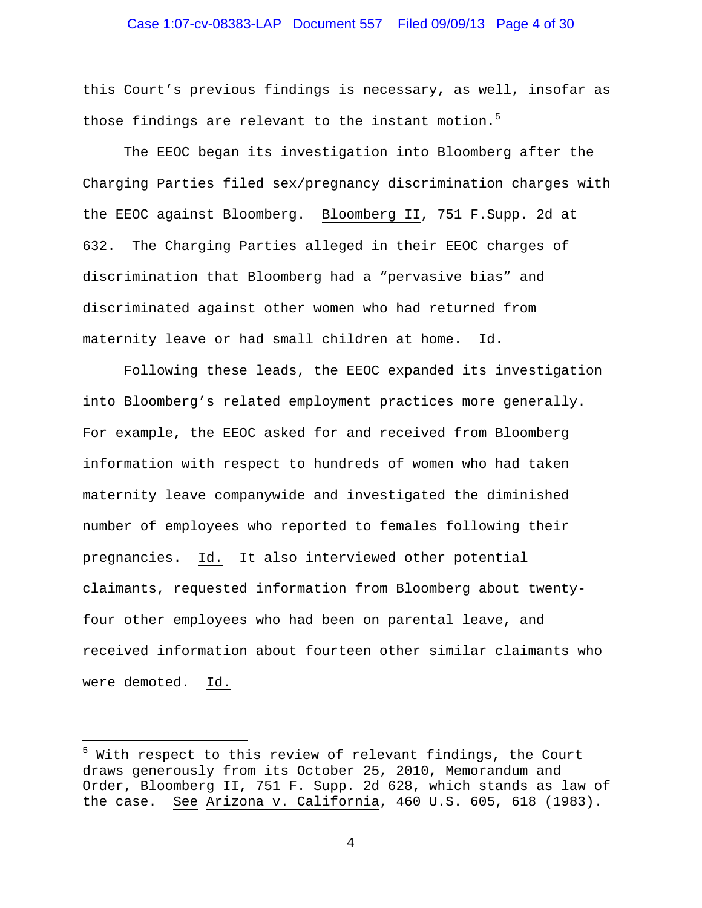# Case 1:07-cv-08383-LAP Document 557 Filed 09/09/13 Page 4 of 30

this Court's previous findings is necessary, as well, insofar as those findings are relevant to the instant motion.<sup>5</sup>

The EEOC began its investigation into Bloomberg after the Charging Parties filed sex/pregnancy discrimination charges with the EEOC against Bloomberg. Bloomberg II, 751 F.Supp. 2d at 632. The Charging Parties alleged in their EEOC charges of discrimination that Bloomberg had a "pervasive bias" and discriminated against other women who had returned from maternity leave or had small children at home. Id.

Following these leads, the EEOC expanded its investigation into Bloomberg's related employment practices more generally. For example, the EEOC asked for and received from Bloomberg information with respect to hundreds of women who had taken maternity leave companywide and investigated the diminished number of employees who reported to females following their pregnancies. Id. It also interviewed other potential claimants, requested information from Bloomberg about twentyfour other employees who had been on parental leave, and received information about fourteen other similar claimants who were demoted. Id.

i<br>Li

<sup>&</sup>lt;sup>5</sup> With respect to this review of relevant findings, the Court draws generously from its October 25, 2010, Memorandum and Order, Bloomberg II, 751 F. Supp. 2d 628, which stands as law of the case. See Arizona v. California, 460 U.S. 605, 618 (1983).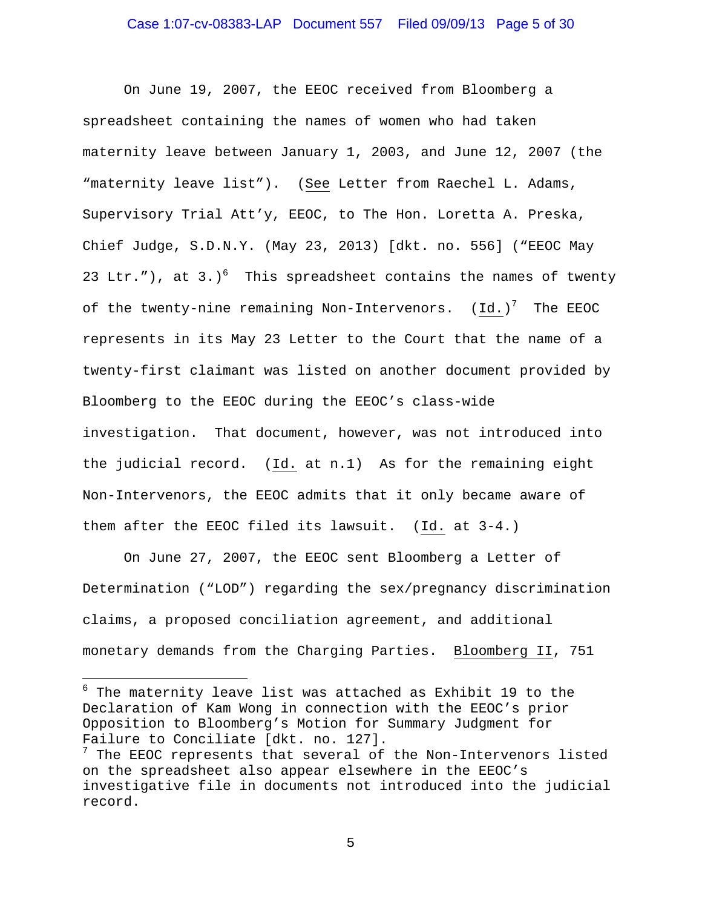On June 19, 2007, the EEOC received from Bloomberg a spreadsheet containing the names of women who had taken maternity leave between January 1, 2003, and June 12, 2007 (the "maternity leave list"). (See Letter from Raechel L. Adams, Supervisory Trial Att'y, EEOC, to The Hon. Loretta A. Preska, Chief Judge, S.D.N.Y. (May 23, 2013) [dkt. no. 556] ("EEOC May 23 Ltr."), at 3.)<sup>6</sup> This spreadsheet contains the names of twenty of the twenty-nine remaining Non-Intervenors.  ${(\texttt{Id.})}^\text{T}$  The EEOC represents in its May 23 Letter to the Court that the name of a twenty-first claimant was listed on another document provided by Bloomberg to the EEOC during the EEOC's class-wide investigation. That document, however, was not introduced into the judicial record. (Id. at n.1) As for the remaining eight Non-Intervenors, the EEOC admits that it only became aware of them after the EEOC filed its lawsuit. (Id. at 3-4.)

On June 27, 2007, the EEOC sent Bloomberg a Letter of Determination ("LOD") regarding the sex/pregnancy discrimination claims, a proposed conciliation agreement, and additional monetary demands from the Charging Parties. Bloomberg II, 751

 $^6$  The maternity leave list was attached as Exhibit 19 to the Declaration of Kam Wong in connection with the EEOC's prior Opposition to Bloomberg's Motion for Summary Judgment for Failure to Conciliate [dkt. no. 127].  $7$  The EEOC represents that several of the Non-Intervenors listed on the spreadsheet also appear elsewhere in the EEOC's

 $\overline{\phantom{0}}$ 

investigative file in documents not introduced into the judicial record.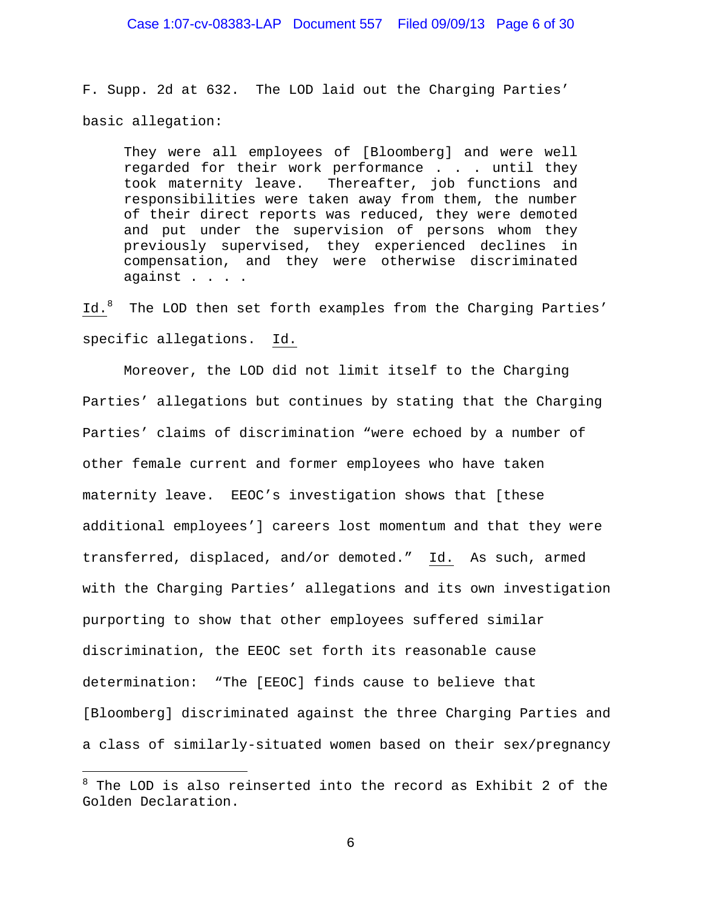F. Supp. 2d at 632. The LOD laid out the Charging Parties' basic allegation:

They were all employees of [Bloomberg] and were well regarded for their work performance . . . until they took maternity leave. Thereafter, job functions and responsibilities were taken away from them, the number of their direct reports was reduced, they were demoted and put under the supervision of persons whom they previously supervised, they experienced declines in compensation, and they were otherwise discriminated against . . . .

Id.<sup>8</sup> The LOD then set forth examples from the Charging Parties' specific allegations. Id.

 Moreover, the LOD did not limit itself to the Charging Parties' allegations but continues by stating that the Charging Parties' claims of discrimination "were echoed by a number of other female current and former employees who have taken maternity leave. EEOC's investigation shows that [these additional employees'] careers lost momentum and that they were transferred, displaced, and/or demoted." Id. As such, armed with the Charging Parties' allegations and its own investigation purporting to show that other employees suffered similar discrimination, the EEOC set forth its reasonable cause determination: "The [EEOC] finds cause to believe that [Bloomberg] discriminated against the three Charging Parties and a class of similarly-situated women based on their sex/pregnancy

i

<sup>&</sup>lt;sup>8</sup> The LOD is also reinserted into the record as Exhibit 2 of the Golden Declaration.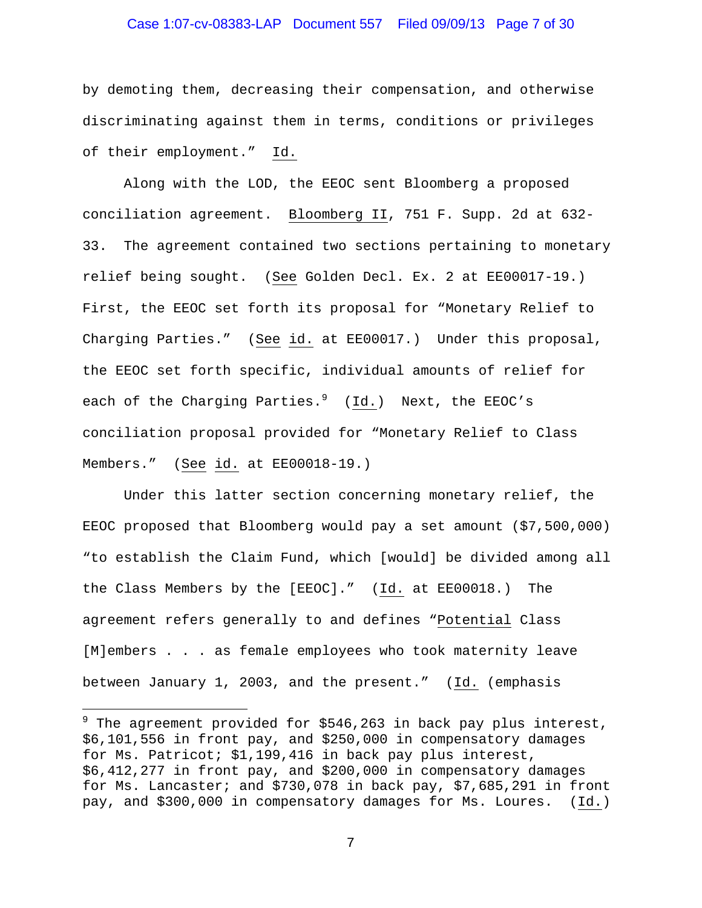# Case 1:07-cv-08383-LAP Document 557 Filed 09/09/13 Page 7 of 30

by demoting them, decreasing their compensation, and otherwise discriminating against them in terms, conditions or privileges of their employment." Id.

Along with the LOD, the EEOC sent Bloomberg a proposed conciliation agreement. Bloomberg II, 751 F. Supp. 2d at 632- 33. The agreement contained two sections pertaining to monetary relief being sought. (See Golden Decl. Ex. 2 at EE00017-19.) First, the EEOC set forth its proposal for "Monetary Relief to Charging Parties." (See id. at EE00017.) Under this proposal, the EEOC set forth specific, individual amounts of relief for each of the Charging Parties.<sup>9</sup> (Id.) Next, the EEOC's conciliation proposal provided for "Monetary Relief to Class Members." (See id. at EE00018-19.)

 Under this latter section concerning monetary relief, the EEOC proposed that Bloomberg would pay a set amount (\$7,500,000) "to establish the Claim Fund, which [would] be divided among all the Class Members by the [EEOC]." (Id. at EE00018.) The agreement refers generally to and defines "Potential Class [M]embers . . . as female employees who took maternity leave between January 1, 2003, and the present." (Id. (emphasis

i

 $^9$  The agreement provided for \$546,263 in back pay plus interest, \$6,101,556 in front pay, and \$250,000 in compensatory damages for Ms. Patricot; \$1,199,416 in back pay plus interest, \$6,412,277 in front pay, and \$200,000 in compensatory damages for Ms. Lancaster; and \$730,078 in back pay, \$7,685,291 in front pay, and \$300,000 in compensatory damages for Ms. Loures. (Id.)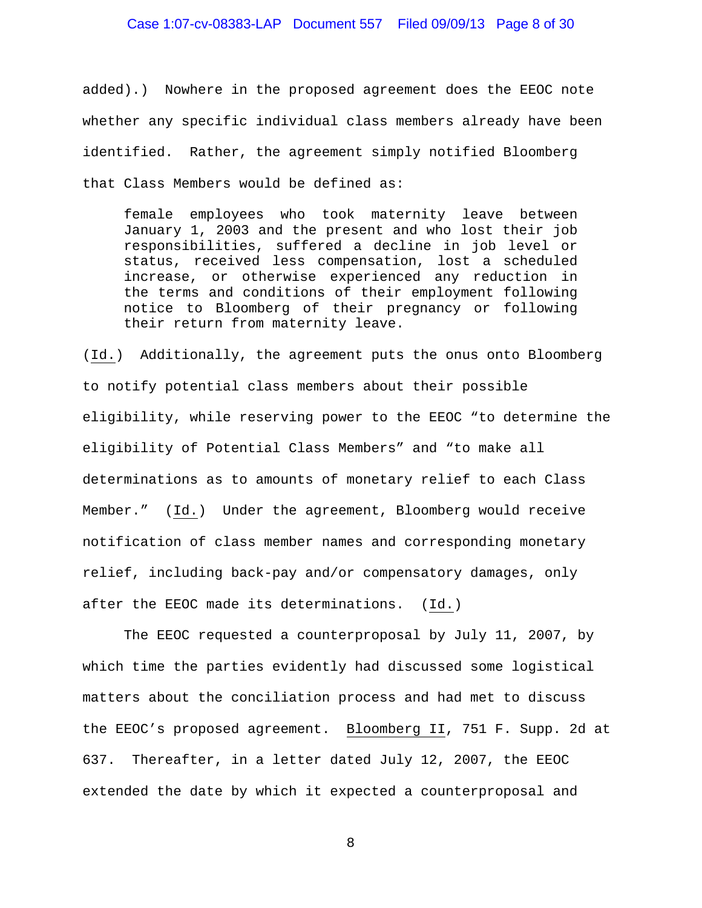# Case 1:07-cv-08383-LAP Document 557 Filed 09/09/13 Page 8 of 30

added).) Nowhere in the proposed agreement does the EEOC note whether any specific individual class members already have been identified. Rather, the agreement simply notified Bloomberg that Class Members would be defined as:

female employees who took maternity leave between January 1, 2003 and the present and who lost their job responsibilities, suffered a decline in job level or status, received less compensation, lost a scheduled increase, or otherwise experienced any reduction in the terms and conditions of their employment following notice to Bloomberg of their pregnancy or following their return from maternity leave.

(Id.) Additionally, the agreement puts the onus onto Bloomberg to notify potential class members about their possible eligibility, while reserving power to the EEOC "to determine the eligibility of Potential Class Members" and "to make all determinations as to amounts of monetary relief to each Class Member." (Id.) Under the agreement, Bloomberg would receive notification of class member names and corresponding monetary relief, including back-pay and/or compensatory damages, only after the EEOC made its determinations. (Id.)

 The EEOC requested a counterproposal by July 11, 2007, by which time the parties evidently had discussed some logistical matters about the conciliation process and had met to discuss the EEOC's proposed agreement. Bloomberg II, 751 F. Supp. 2d at 637. Thereafter, in a letter dated July 12, 2007, the EEOC extended the date by which it expected a counterproposal and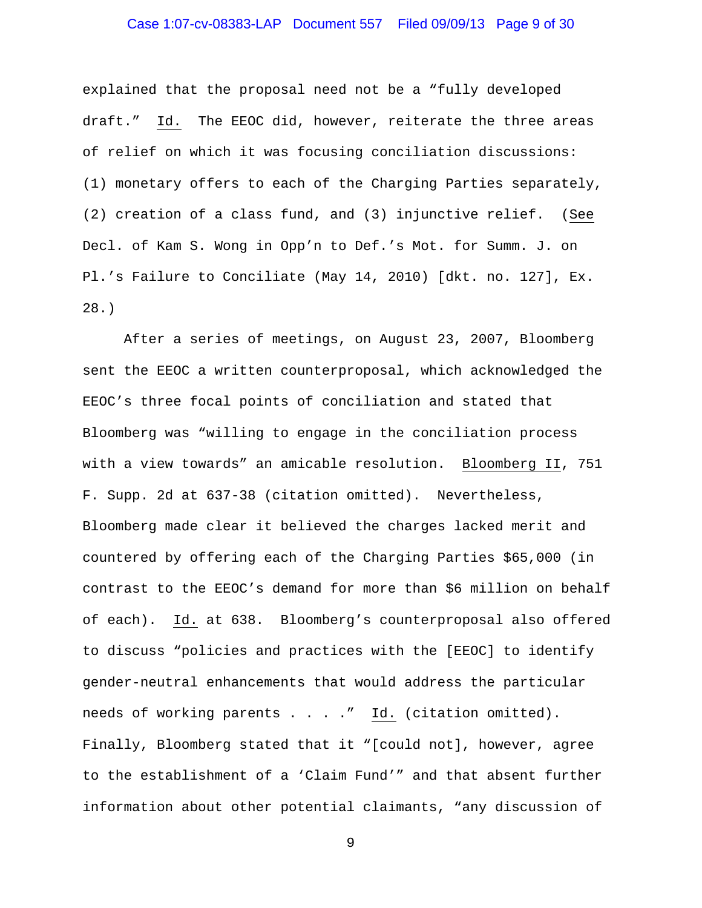# Case 1:07-cv-08383-LAP Document 557 Filed 09/09/13 Page 9 of 30

explained that the proposal need not be a "fully developed draft." Id. The EEOC did, however, reiterate the three areas of relief on which it was focusing conciliation discussions: (1) monetary offers to each of the Charging Parties separately, (2) creation of a class fund, and (3) injunctive relief. (See Decl. of Kam S. Wong in Opp'n to Def.'s Mot. for Summ. J. on Pl.'s Failure to Conciliate (May 14, 2010) [dkt. no. 127], Ex. 28.)

 After a series of meetings, on August 23, 2007, Bloomberg sent the EEOC a written counterproposal, which acknowledged the EEOC's three focal points of conciliation and stated that Bloomberg was "willing to engage in the conciliation process with a view towards" an amicable resolution. Bloomberg II, 751 F. Supp. 2d at 637-38 (citation omitted). Nevertheless, Bloomberg made clear it believed the charges lacked merit and countered by offering each of the Charging Parties \$65,000 (in contrast to the EEOC's demand for more than \$6 million on behalf of each). Id. at 638. Bloomberg's counterproposal also offered to discuss "policies and practices with the [EEOC] to identify gender-neutral enhancements that would address the particular needs of working parents . . . ." Id. (citation omitted). Finally, Bloomberg stated that it "[could not], however, agree to the establishment of a 'Claim Fund'" and that absent further information about other potential claimants, "any discussion of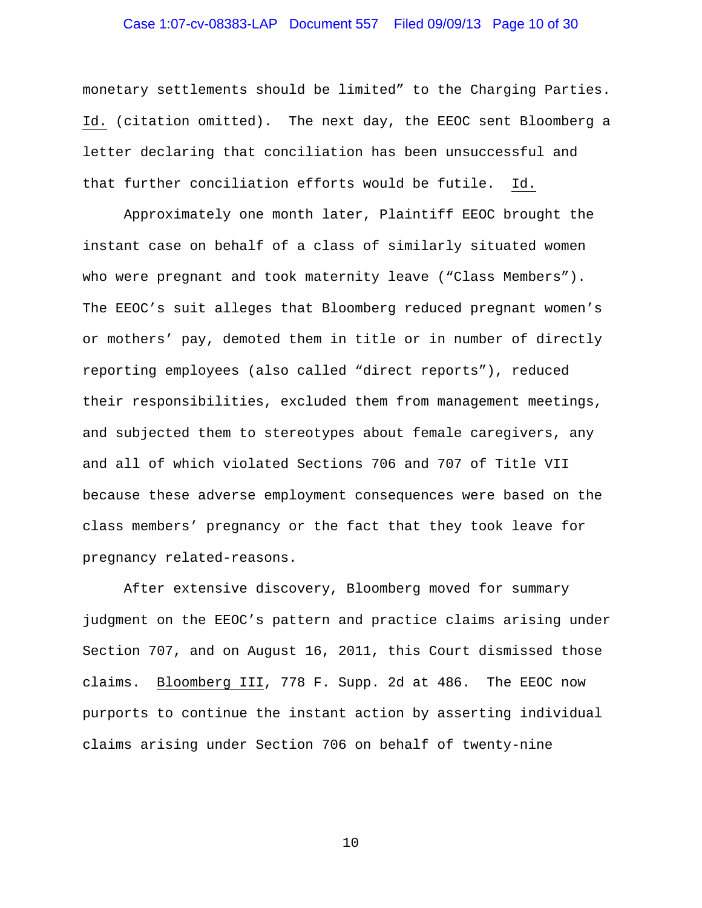# Case 1:07-cv-08383-LAP Document 557 Filed 09/09/13 Page 10 of 30

monetary settlements should be limited" to the Charging Parties. Id. (citation omitted). The next day, the EEOC sent Bloomberg a letter declaring that conciliation has been unsuccessful and that further conciliation efforts would be futile. Id.

Approximately one month later, Plaintiff EEOC brought the instant case on behalf of a class of similarly situated women who were pregnant and took maternity leave ("Class Members"). The EEOC's suit alleges that Bloomberg reduced pregnant women's or mothers' pay, demoted them in title or in number of directly reporting employees (also called "direct reports"), reduced their responsibilities, excluded them from management meetings, and subjected them to stereotypes about female caregivers, any and all of which violated Sections 706 and 707 of Title VII because these adverse employment consequences were based on the class members' pregnancy or the fact that they took leave for pregnancy related-reasons.

After extensive discovery, Bloomberg moved for summary judgment on the EEOC's pattern and practice claims arising under Section 707, and on August 16, 2011, this Court dismissed those claims. Bloomberg III, 778 F. Supp. 2d at 486. The EEOC now purports to continue the instant action by asserting individual claims arising under Section 706 on behalf of twenty-nine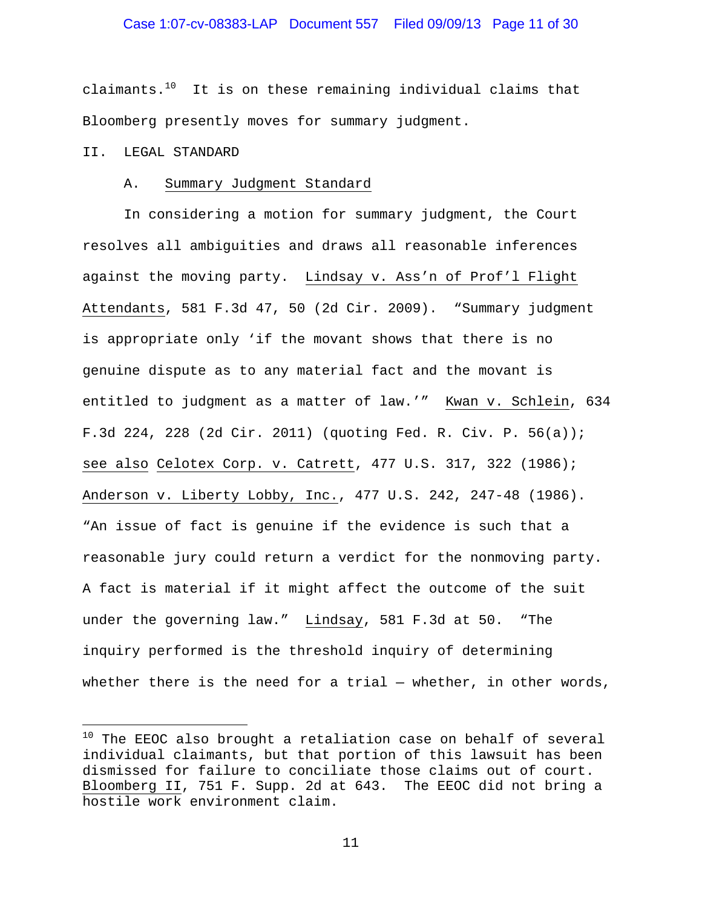claimants. $10$  It is on these remaining individual claims that Bloomberg presently moves for summary judgment.

# II. LEGAL STANDARD

i<br>Li

#### A. Summary Judgment Standard

In considering a motion for summary judgment, the Court resolves all ambiguities and draws all reasonable inferences against the moving party. Lindsay v. Ass'n of Prof'l Flight Attendants, 581 F.3d 47, 50 (2d Cir. 2009). "Summary judgment is appropriate only 'if the movant shows that there is no genuine dispute as to any material fact and the movant is entitled to judgment as a matter of law.'" Kwan v. Schlein, 634 F.3d 224, 228 (2d Cir. 2011) (quoting Fed. R. Civ. P. 56(a)); see also Celotex Corp. v. Catrett, 477 U.S. 317, 322 (1986); Anderson v. Liberty Lobby, Inc., 477 U.S. 242, 247-48 (1986). "An issue of fact is genuine if the evidence is such that a reasonable jury could return a verdict for the nonmoving party. A fact is material if it might affect the outcome of the suit under the governing law." Lindsay, 581 F.3d at 50. "The inquiry performed is the threshold inquiry of determining whether there is the need for a trial  $-$  whether, in other words,

 $^{10}$  The EEOC also brought a retaliation case on behalf of several individual claimants, but that portion of this lawsuit has been dismissed for failure to conciliate those claims out of court. Bloomberg II, 751 F. Supp. 2d at 643. The EEOC did not bring a hostile work environment claim.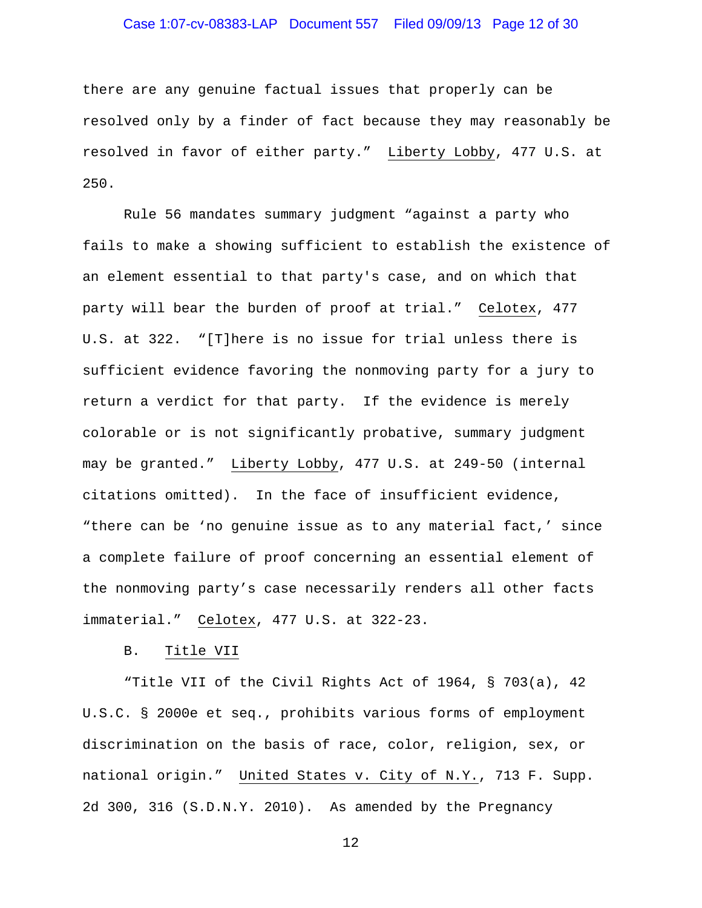# Case 1:07-cv-08383-LAP Document 557 Filed 09/09/13 Page 12 of 30

there are any genuine factual issues that properly can be resolved only by a finder of fact because they may reasonably be resolved in favor of either party." Liberty Lobby, 477 U.S. at 250.

Rule 56 mandates summary judgment "against a party who fails to make a showing sufficient to establish the existence of an element essential to that party's case, and on which that party will bear the burden of proof at trial." Celotex, 477 U.S. at 322. "[T]here is no issue for trial unless there is sufficient evidence favoring the nonmoving party for a jury to return a verdict for that party. If the evidence is merely colorable or is not significantly probative, summary judgment may be granted." Liberty Lobby, 477 U.S. at 249-50 (internal citations omitted). In the face of insufficient evidence, "there can be 'no genuine issue as to any material fact,' since a complete failure of proof concerning an essential element of the nonmoving party's case necessarily renders all other facts immaterial." Celotex, 477 U.S. at 322-23.

#### B. Title VII

"Title VII of the Civil Rights Act of 1964, § 703(a), 42 U.S.C. § 2000e et seq., prohibits various forms of employment discrimination on the basis of race, color, religion, sex, or national origin." United States v. City of N.Y., 713 F. Supp. 2d 300, 316 (S.D.N.Y. 2010). As amended by the Pregnancy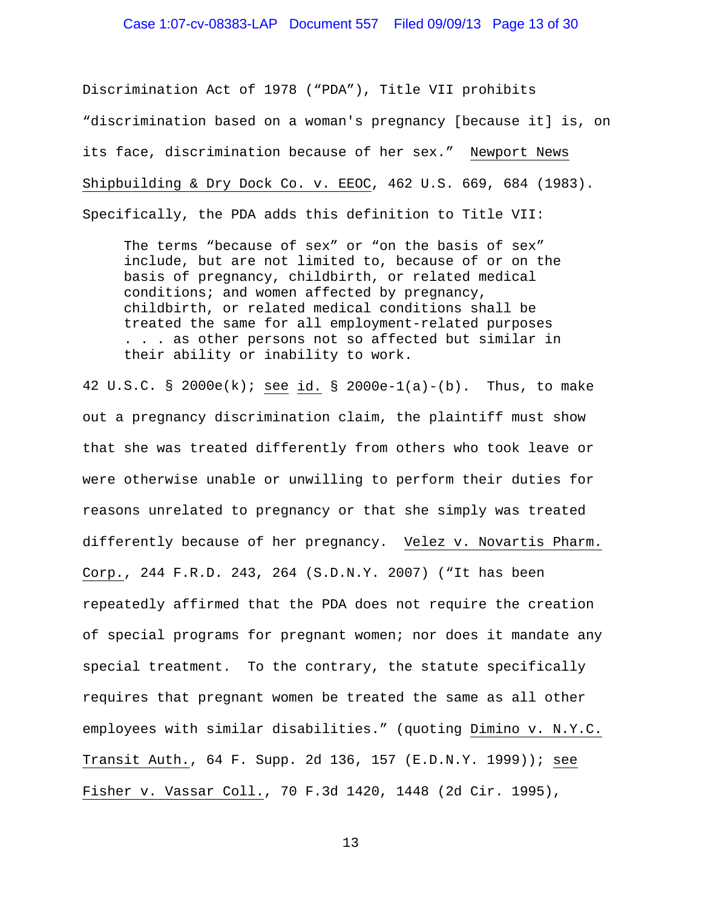# Case 1:07-cv-08383-LAP Document 557 Filed 09/09/13 Page 13 of 30

Discrimination Act of 1978 ("PDA"), Title VII prohibits "discrimination based on a woman's pregnancy [because it] is, on its face, discrimination because of her sex." Newport News Shipbuilding & Dry Dock Co. v. EEOC, 462 U.S. 669, 684 (1983).

Specifically, the PDA adds this definition to Title VII:

The terms "because of sex" or "on the basis of sex" include, but are not limited to, because of or on the basis of pregnancy, childbirth, or related medical conditions; and women affected by pregnancy, childbirth, or related medical conditions shall be treated the same for all employment-related purposes . . . as other persons not so affected but similar in their ability or inability to work.

42 U.S.C. § 2000e(k); see id. § 2000e-1(a)-(b). Thus, to make out a pregnancy discrimination claim, the plaintiff must show that she was treated differently from others who took leave or were otherwise unable or unwilling to perform their duties for reasons unrelated to pregnancy or that she simply was treated differently because of her pregnancy. Velez v. Novartis Pharm. Corp., 244 F.R.D. 243, 264 (S.D.N.Y. 2007) ("It has been repeatedly affirmed that the PDA does not require the creation of special programs for pregnant women; nor does it mandate any special treatment. To the contrary, the statute specifically requires that pregnant women be treated the same as all other employees with similar disabilities." (quoting Dimino v. N.Y.C. Transit Auth., 64 F. Supp. 2d 136, 157 (E.D.N.Y. 1999)); see Fisher v. Vassar Coll., 70 F.3d 1420, 1448 (2d Cir. 1995),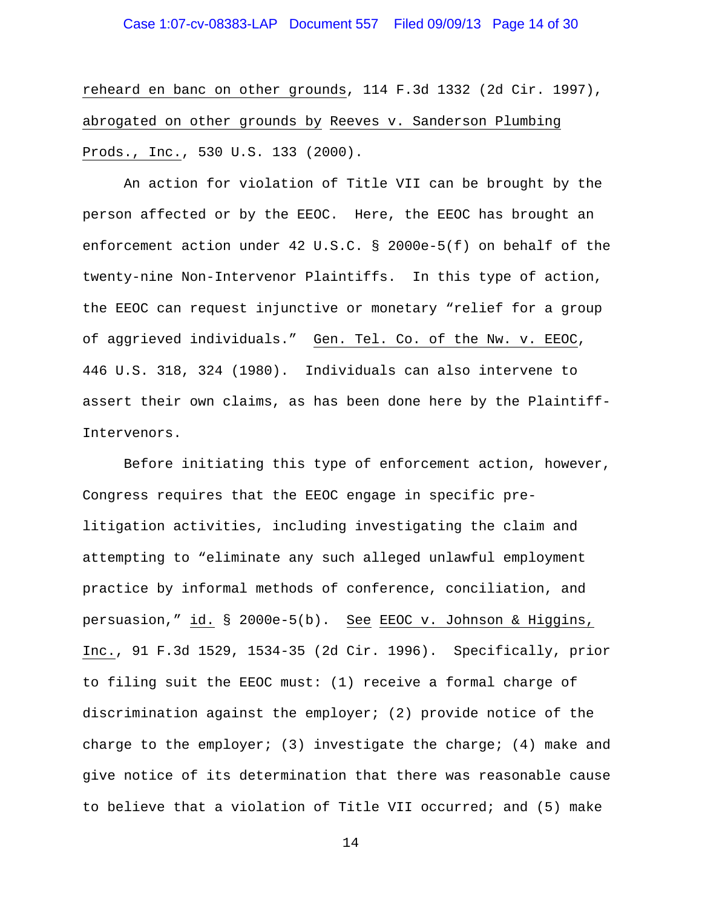reheard en banc on other grounds, 114 F.3d 1332 (2d Cir. 1997), abrogated on other grounds by Reeves v. Sanderson Plumbing Prods., Inc., 530 U.S. 133 (2000).

An action for violation of Title VII can be brought by the person affected or by the EEOC. Here, the EEOC has brought an enforcement action under 42 U.S.C. § 2000e-5(f) on behalf of the twenty-nine Non-Intervenor Plaintiffs. In this type of action, the EEOC can request injunctive or monetary "relief for a group of aggrieved individuals." Gen. Tel. Co. of the Nw. v. EEOC, 446 U.S. 318, 324 (1980). Individuals can also intervene to assert their own claims, as has been done here by the Plaintiff-Intervenors.

 Before initiating this type of enforcement action, however, Congress requires that the EEOC engage in specific prelitigation activities, including investigating the claim and attempting to "eliminate any such alleged unlawful employment practice by informal methods of conference, conciliation, and persuasion," id. § 2000e-5(b). See EEOC v. Johnson & Higgins, Inc., 91 F.3d 1529, 1534-35 (2d Cir. 1996). Specifically, prior to filing suit the EEOC must: (1) receive a formal charge of discrimination against the employer; (2) provide notice of the charge to the employer; (3) investigate the charge; (4) make and give notice of its determination that there was reasonable cause to believe that a violation of Title VII occurred; and (5) make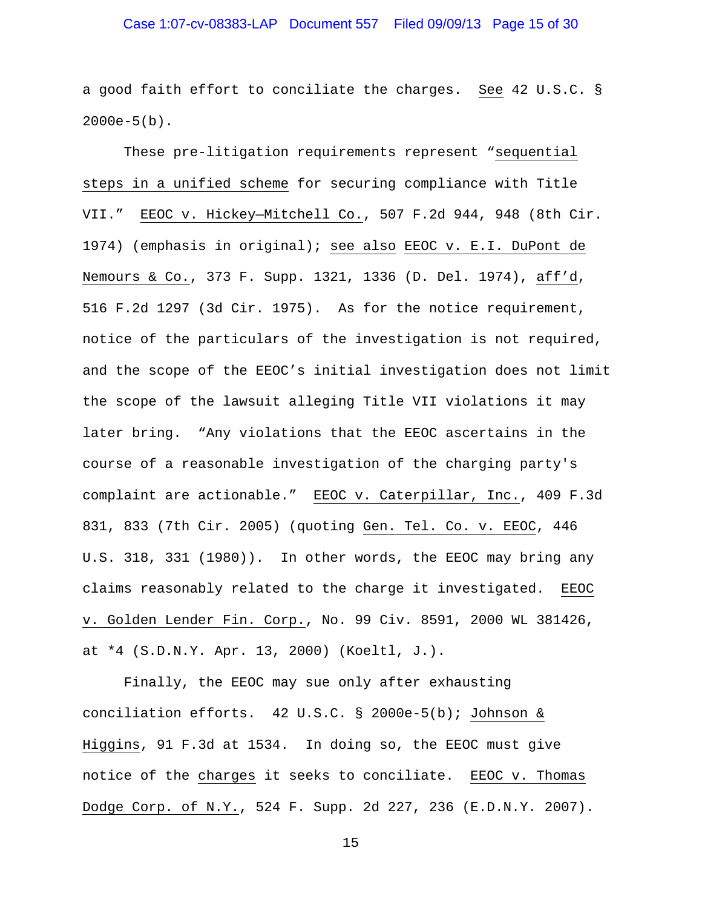# Case 1:07-cv-08383-LAP Document 557 Filed 09/09/13 Page 15 of 30

a good faith effort to conciliate the charges. See 42 U.S.C. §  $2000e-5(b)$ .

 These pre-litigation requirements represent "sequential steps in a unified scheme for securing compliance with Title VII." EEOC v. Hickey—Mitchell Co., 507 F.2d 944, 948 (8th Cir. 1974) (emphasis in original); see also EEOC v. E.I. DuPont de Nemours & Co., 373 F. Supp. 1321, 1336 (D. Del. 1974), aff'd, 516 F.2d 1297 (3d Cir. 1975). As for the notice requirement, notice of the particulars of the investigation is not required, and the scope of the EEOC's initial investigation does not limit the scope of the lawsuit alleging Title VII violations it may later bring. "Any violations that the EEOC ascertains in the course of a reasonable investigation of the charging party's complaint are actionable." EEOC v. Caterpillar, Inc., 409 F.3d 831, 833 (7th Cir. 2005) (quoting Gen. Tel. Co. v. EEOC, 446 U.S. 318, 331 (1980)). In other words, the EEOC may bring any claims reasonably related to the charge it investigated. EEOC v. Golden Lender Fin. Corp., No. 99 Civ. 8591, 2000 WL 381426, at \*4 (S.D.N.Y. Apr. 13, 2000) (Koeltl, J.).

Finally, the EEOC may sue only after exhausting conciliation efforts. 42 U.S.C. § 2000e-5(b); Johnson & Higgins, 91 F.3d at 1534. In doing so, the EEOC must give notice of the charges it seeks to conciliate. EEOC v. Thomas Dodge Corp. of N.Y., 524 F. Supp. 2d 227, 236 (E.D.N.Y. 2007).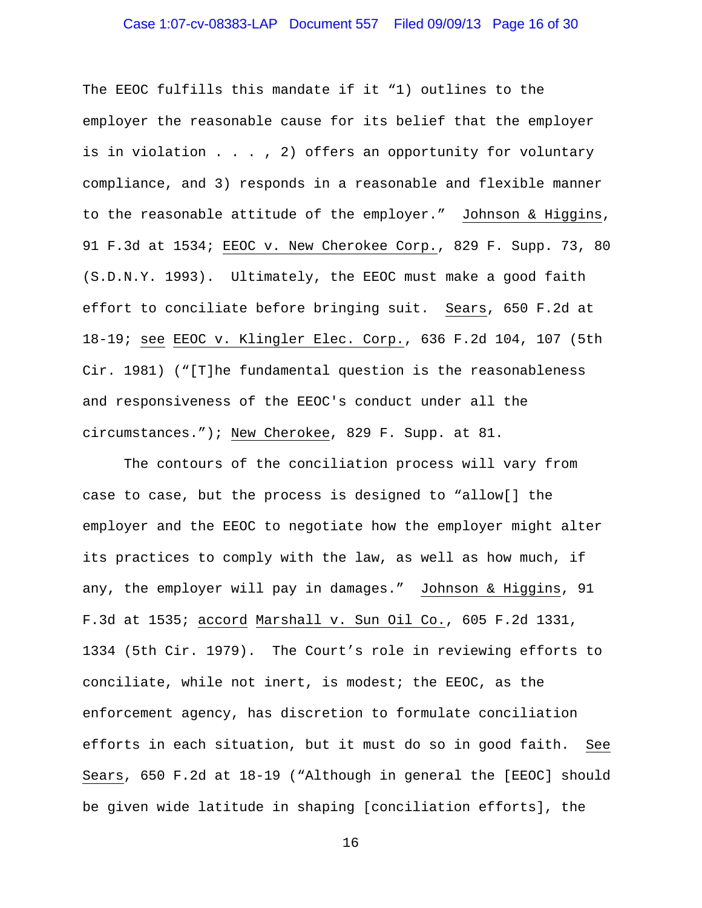# Case 1:07-cv-08383-LAP Document 557 Filed 09/09/13 Page 16 of 30

The EEOC fulfills this mandate if it "1) outlines to the employer the reasonable cause for its belief that the employer is in violation  $\ldots$ , 2) offers an opportunity for voluntary compliance, and 3) responds in a reasonable and flexible manner to the reasonable attitude of the employer." Johnson & Higgins, 91 F.3d at 1534; EEOC v. New Cherokee Corp., 829 F. Supp. 73, 80 (S.D.N.Y. 1993). Ultimately, the EEOC must make a good faith effort to conciliate before bringing suit. Sears, 650 F.2d at 18-19; see EEOC v. Klingler Elec. Corp., 636 F.2d 104, 107 (5th Cir. 1981) ("[T]he fundamental question is the reasonableness and responsiveness of the EEOC's conduct under all the circumstances."); New Cherokee, 829 F. Supp. at 81.

The contours of the conciliation process will vary from case to case, but the process is designed to "allow[] the employer and the EEOC to negotiate how the employer might alter its practices to comply with the law, as well as how much, if any, the employer will pay in damages." Johnson & Higgins, 91 F.3d at 1535; accord Marshall v. Sun Oil Co., 605 F.2d 1331, 1334 (5th Cir. 1979). The Court's role in reviewing efforts to conciliate, while not inert, is modest; the EEOC, as the enforcement agency, has discretion to formulate conciliation efforts in each situation, but it must do so in good faith. See Sears, 650 F.2d at 18-19 ("Although in general the [EEOC] should be given wide latitude in shaping [conciliation efforts], the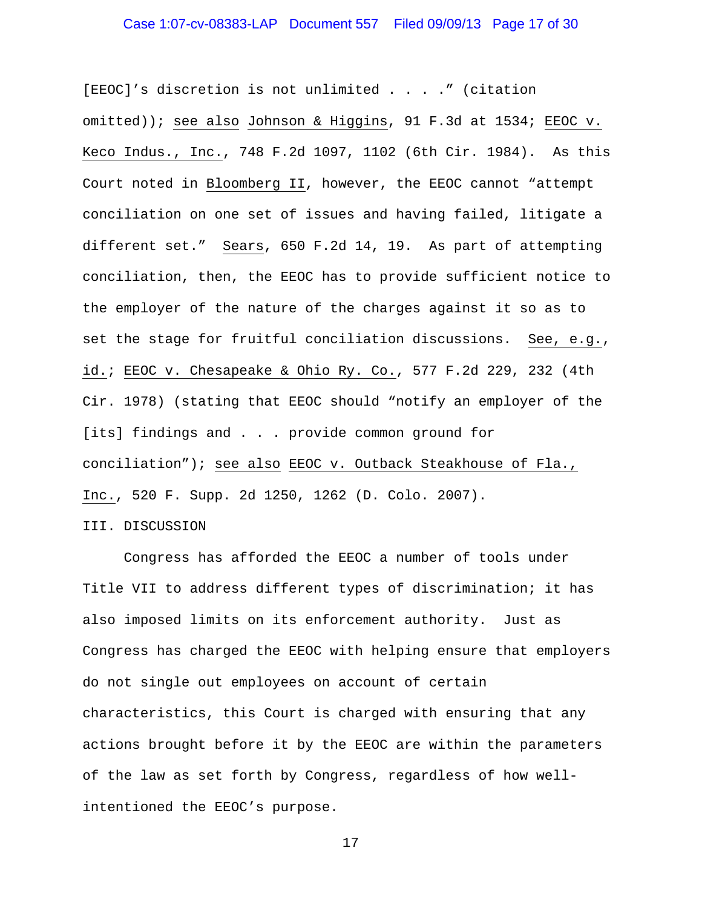[EEOC]'s discretion is not unlimited . . . ." (citation omitted)); see also Johnson & Higgins, 91 F.3d at 1534; EEOC v. Keco Indus., Inc., 748 F.2d 1097, 1102 (6th Cir. 1984). As this Court noted in Bloomberg II, however, the EEOC cannot "attempt conciliation on one set of issues and having failed, litigate a different set." Sears, 650 F.2d 14, 19. As part of attempting conciliation, then, the EEOC has to provide sufficient notice to the employer of the nature of the charges against it so as to set the stage for fruitful conciliation discussions. See, e.g., id.; EEOC v. Chesapeake & Ohio Ry. Co., 577 F.2d 229, 232 (4th Cir. 1978) (stating that EEOC should "notify an employer of the [its] findings and . . . provide common ground for conciliation"); see also EEOC v. Outback Steakhouse of Fla., Inc., 520 F. Supp. 2d 1250, 1262 (D. Colo. 2007).

III. DISCUSSION

 Congress has afforded the EEOC a number of tools under Title VII to address different types of discrimination; it has also imposed limits on its enforcement authority. Just as Congress has charged the EEOC with helping ensure that employers do not single out employees on account of certain characteristics, this Court is charged with ensuring that any actions brought before it by the EEOC are within the parameters of the law as set forth by Congress, regardless of how wellintentioned the EEOC's purpose.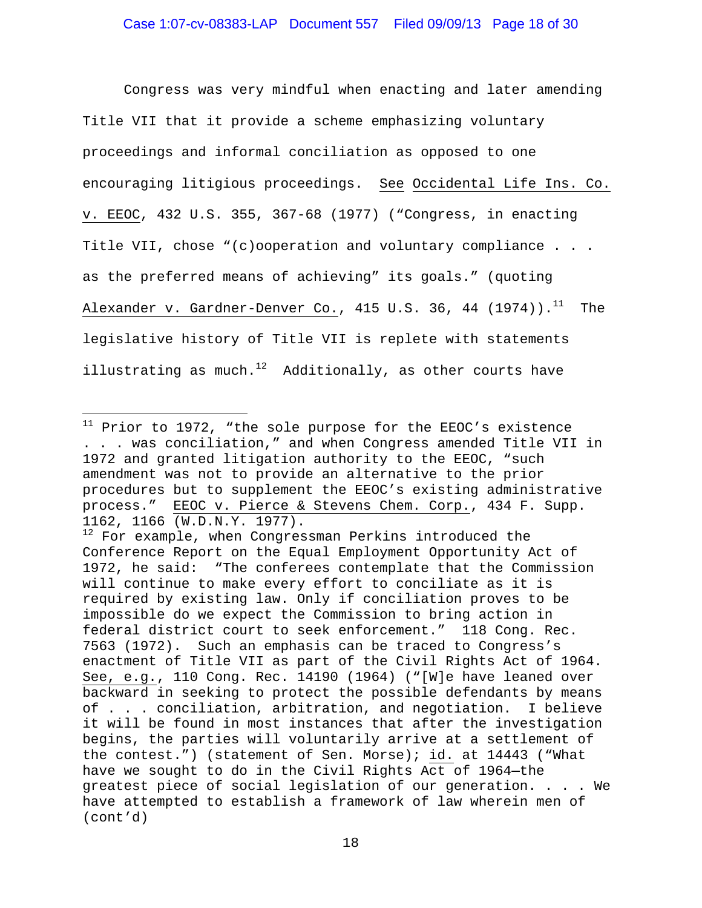Congress was very mindful when enacting and later amending Title VII that it provide a scheme emphasizing voluntary proceedings and informal conciliation as opposed to one encouraging litigious proceedings. See Occidental Life Ins. Co. v. EEOC, 432 U.S. 355, 367-68 (1977) ("Congress, in enacting Title VII, chose "(c)ooperation and voluntary compliance . . . as the preferred means of achieving" its goals." (quoting Alexander v. Gardner-Denver Co., 415 U.S. 36, 44  $(1974)$ .<sup>11</sup> The legislative history of Title VII is replete with statements illustrating as much.<sup>12</sup> Additionally, as other courts have

i<br>Li

 $11$  Prior to 1972, "the sole purpose for the EEOC's existence . . . was conciliation," and when Congress amended Title VII in 1972 and granted litigation authority to the EEOC, "such amendment was not to provide an alternative to the prior procedures but to supplement the EEOC's existing administrative process." EEOC v. Pierce & Stevens Chem. Corp., 434 F. Supp. 1162, 1166 (W.D.N.Y. 1977).

 $12$  For example, when Congressman Perkins introduced the Conference Report on the Equal Employment Opportunity Act of 1972, he said: "The conferees contemplate that the Commission will continue to make every effort to conciliate as it is required by existing law. Only if conciliation proves to be impossible do we expect the Commission to bring action in federal district court to seek enforcement." 118 Cong. Rec. 7563 (1972). Such an emphasis can be traced to Congress's enactment of Title VII as part of the Civil Rights Act of 1964. See, e.g., 110 Cong. Rec. 14190 (1964) ("[W]e have leaned over backward in seeking to protect the possible defendants by means of . . . conciliation, arbitration, and negotiation. I believe it will be found in most instances that after the investigation begins, the parties will voluntarily arrive at a settlement of the contest.") (statement of Sen. Morse); id. at 14443 ("What have we sought to do in the Civil Rights Act of 1964—the greatest piece of social legislation of our generation. . . . We have attempted to establish a framework of law wherein men of (cont'd)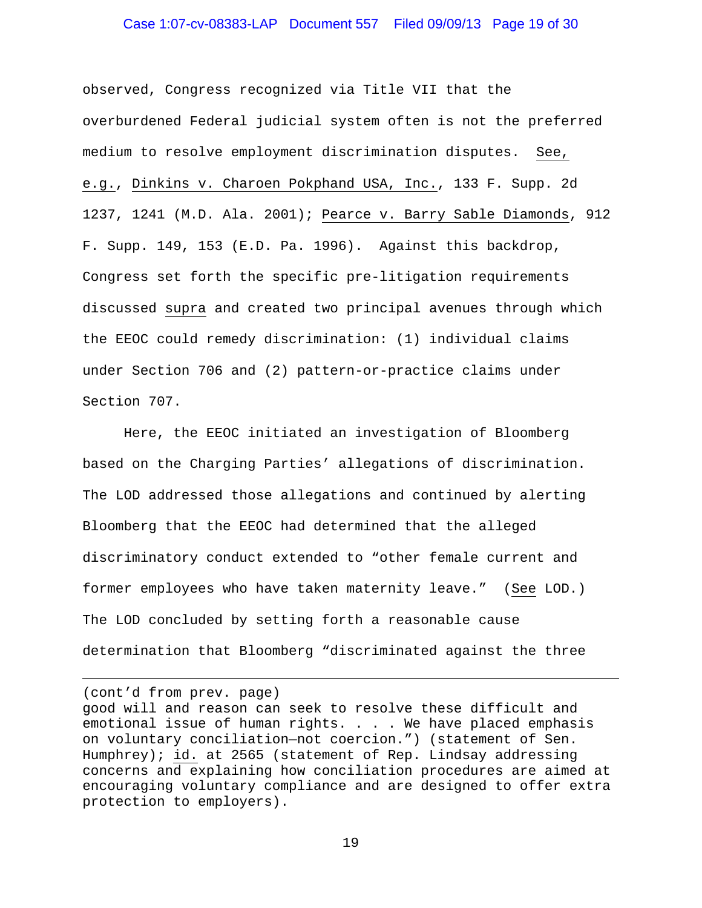#### Case 1:07-cv-08383-LAP Document 557 Filed 09/09/13 Page 19 of 30

observed, Congress recognized via Title VII that the overburdened Federal judicial system often is not the preferred medium to resolve employment discrimination disputes. See, e.g., Dinkins v. Charoen Pokphand USA, Inc., 133 F. Supp. 2d 1237, 1241 (M.D. Ala. 2001); Pearce v. Barry Sable Diamonds, 912 F. Supp. 149, 153 (E.D. Pa. 1996). Against this backdrop, Congress set forth the specific pre-litigation requirements discussed supra and created two principal avenues through which the EEOC could remedy discrimination: (1) individual claims under Section 706 and (2) pattern-or-practice claims under Section 707.

 Here, the EEOC initiated an investigation of Bloomberg based on the Charging Parties' allegations of discrimination. The LOD addressed those allegations and continued by alerting Bloomberg that the EEOC had determined that the alleged discriminatory conduct extended to "other female current and former employees who have taken maternity leave." (See LOD.) The LOD concluded by setting forth a reasonable cause determination that Bloomberg "discriminated against the three

(cont'd from prev. page)

i<br>Li

good will and reason can seek to resolve these difficult and emotional issue of human rights. . . . We have placed emphasis on voluntary conciliation—not coercion.") (statement of Sen. Humphrey); id. at 2565 (statement of Rep. Lindsay addressing concerns and explaining how conciliation procedures are aimed at encouraging voluntary compliance and are designed to offer extra protection to employers).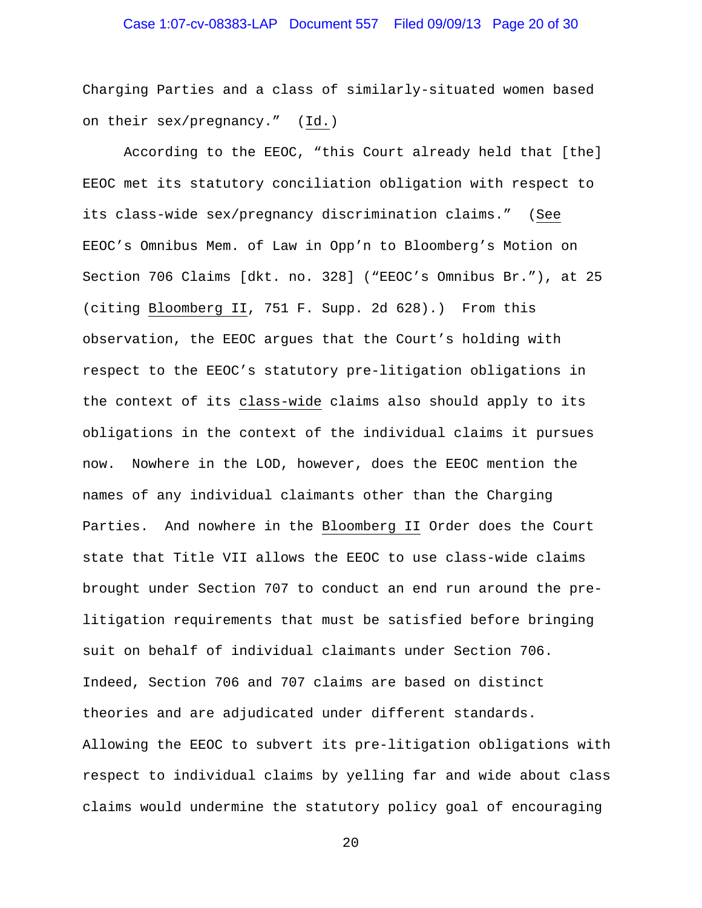# Case 1:07-cv-08383-LAP Document 557 Filed 09/09/13 Page 20 of 30

Charging Parties and a class of similarly-situated women based on their sex/pregnancy." (Id.)

 According to the EEOC, "this Court already held that [the] EEOC met its statutory conciliation obligation with respect to its class-wide sex/pregnancy discrimination claims." (See EEOC's Omnibus Mem. of Law in Opp'n to Bloomberg's Motion on Section 706 Claims [dkt. no. 328] ("EEOC's Omnibus Br."), at 25 (citing Bloomberg II, 751 F. Supp. 2d 628).) From this observation, the EEOC argues that the Court's holding with respect to the EEOC's statutory pre-litigation obligations in the context of its class-wide claims also should apply to its obligations in the context of the individual claims it pursues now. Nowhere in the LOD, however, does the EEOC mention the names of any individual claimants other than the Charging Parties. And nowhere in the Bloomberg II Order does the Court state that Title VII allows the EEOC to use class-wide claims brought under Section 707 to conduct an end run around the prelitigation requirements that must be satisfied before bringing suit on behalf of individual claimants under Section 706. Indeed, Section 706 and 707 claims are based on distinct theories and are adjudicated under different standards. Allowing the EEOC to subvert its pre-litigation obligations with respect to individual claims by yelling far and wide about class claims would undermine the statutory policy goal of encouraging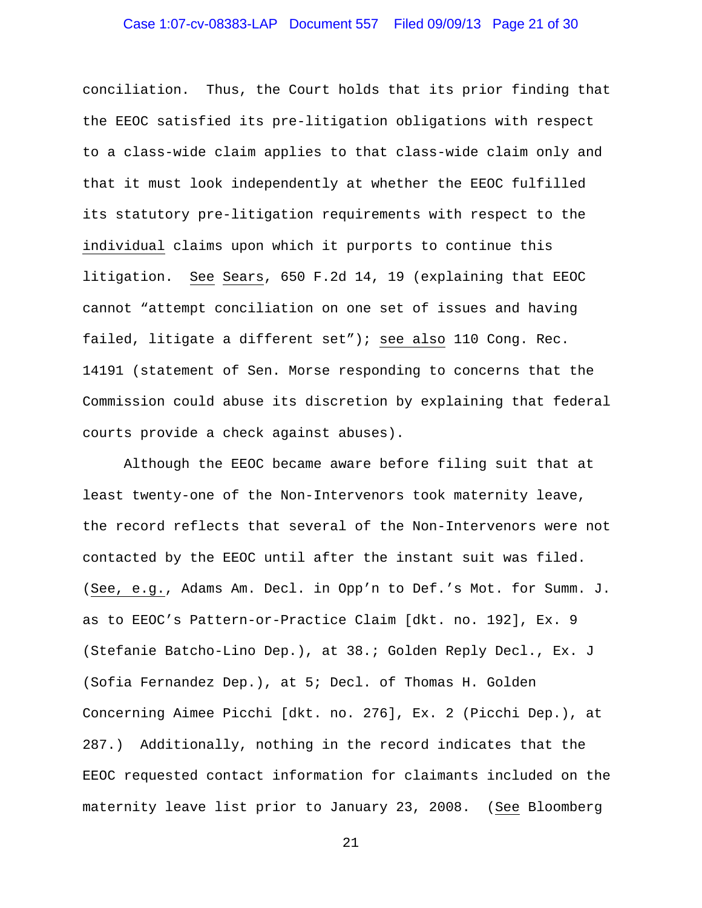# Case 1:07-cv-08383-LAP Document 557 Filed 09/09/13 Page 21 of 30

conciliation. Thus, the Court holds that its prior finding that the EEOC satisfied its pre-litigation obligations with respect to a class-wide claim applies to that class-wide claim only and that it must look independently at whether the EEOC fulfilled its statutory pre-litigation requirements with respect to the individual claims upon which it purports to continue this litigation. See Sears, 650 F.2d 14, 19 (explaining that EEOC cannot "attempt conciliation on one set of issues and having failed, litigate a different set"); see also 110 Cong. Rec. 14191 (statement of Sen. Morse responding to concerns that the Commission could abuse its discretion by explaining that federal courts provide a check against abuses).

 Although the EEOC became aware before filing suit that at least twenty-one of the Non-Intervenors took maternity leave, the record reflects that several of the Non-Intervenors were not contacted by the EEOC until after the instant suit was filed. (See, e.g., Adams Am. Decl. in Opp'n to Def.'s Mot. for Summ. J. as to EEOC's Pattern-or-Practice Claim [dkt. no. 192], Ex. 9 (Stefanie Batcho-Lino Dep.), at 38.; Golden Reply Decl., Ex. J (Sofia Fernandez Dep.), at 5; Decl. of Thomas H. Golden Concerning Aimee Picchi [dkt. no. 276], Ex. 2 (Picchi Dep.), at 287.) Additionally, nothing in the record indicates that the EEOC requested contact information for claimants included on the maternity leave list prior to January 23, 2008. (See Bloomberg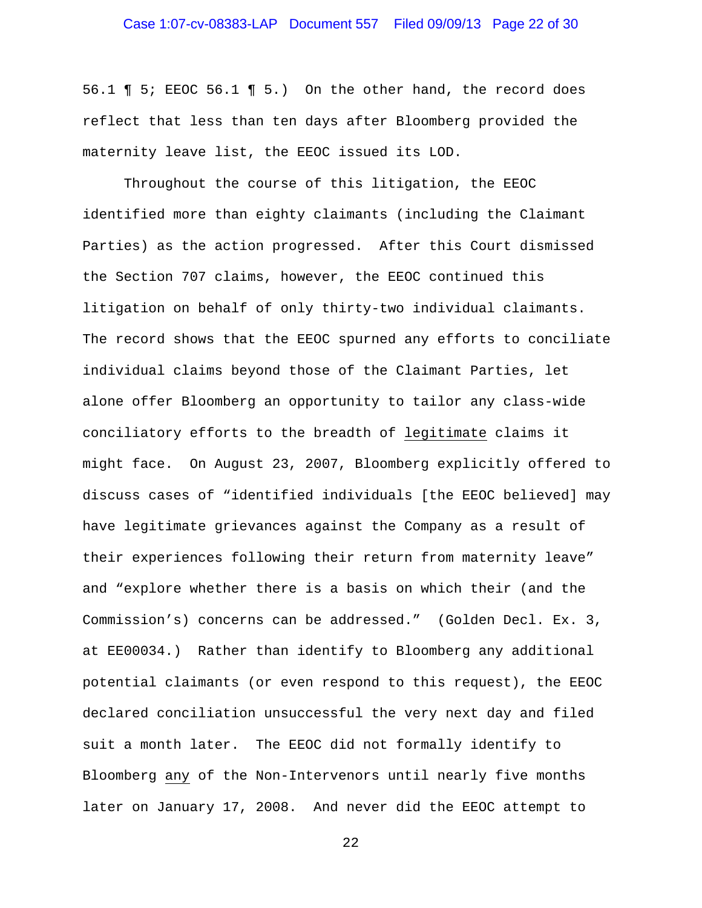56.1 ¶ 5; EEOC 56.1 ¶ 5.) On the other hand, the record does reflect that less than ten days after Bloomberg provided the maternity leave list, the EEOC issued its LOD.

 Throughout the course of this litigation, the EEOC identified more than eighty claimants (including the Claimant Parties) as the action progressed. After this Court dismissed the Section 707 claims, however, the EEOC continued this litigation on behalf of only thirty-two individual claimants. The record shows that the EEOC spurned any efforts to conciliate individual claims beyond those of the Claimant Parties, let alone offer Bloomberg an opportunity to tailor any class-wide conciliatory efforts to the breadth of legitimate claims it might face. On August 23, 2007, Bloomberg explicitly offered to discuss cases of "identified individuals [the EEOC believed] may have legitimate grievances against the Company as a result of their experiences following their return from maternity leave" and "explore whether there is a basis on which their (and the Commission's) concerns can be addressed." (Golden Decl. Ex. 3, at EE00034.) Rather than identify to Bloomberg any additional potential claimants (or even respond to this request), the EEOC declared conciliation unsuccessful the very next day and filed suit a month later. The EEOC did not formally identify to Bloomberg any of the Non-Intervenors until nearly five months later on January 17, 2008. And never did the EEOC attempt to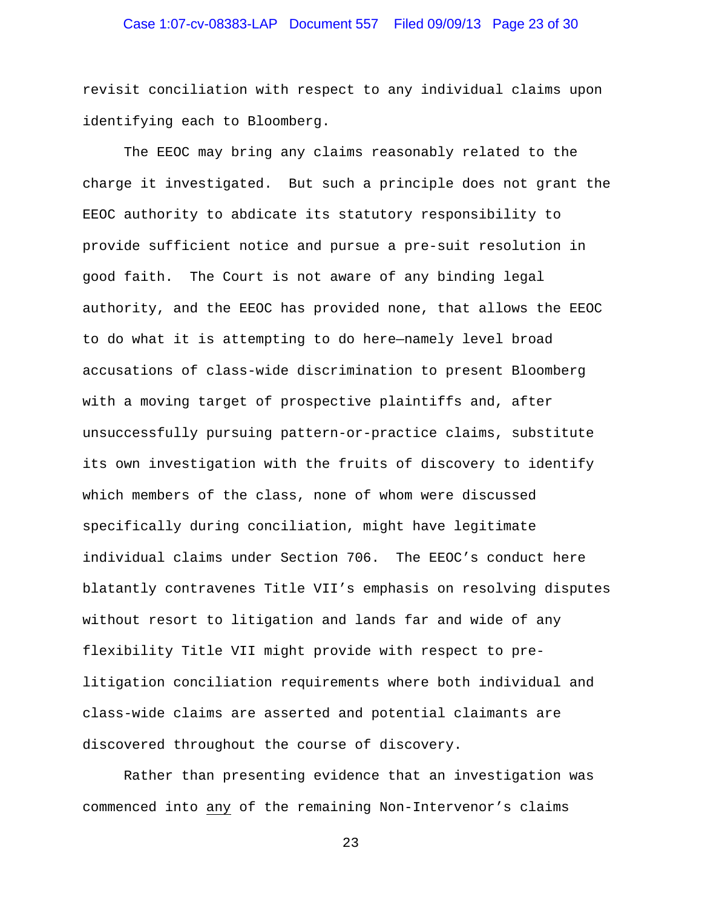revisit conciliation with respect to any individual claims upon identifying each to Bloomberg.

 The EEOC may bring any claims reasonably related to the charge it investigated. But such a principle does not grant the EEOC authority to abdicate its statutory responsibility to provide sufficient notice and pursue a pre-suit resolution in good faith. The Court is not aware of any binding legal authority, and the EEOC has provided none, that allows the EEOC to do what it is attempting to do here—namely level broad accusations of class-wide discrimination to present Bloomberg with a moving target of prospective plaintiffs and, after unsuccessfully pursuing pattern-or-practice claims, substitute its own investigation with the fruits of discovery to identify which members of the class, none of whom were discussed specifically during conciliation, might have legitimate individual claims under Section 706. The EEOC's conduct here blatantly contravenes Title VII's emphasis on resolving disputes without resort to litigation and lands far and wide of any flexibility Title VII might provide with respect to prelitigation conciliation requirements where both individual and class-wide claims are asserted and potential claimants are discovered throughout the course of discovery.

Rather than presenting evidence that an investigation was commenced into any of the remaining Non-Intervenor's claims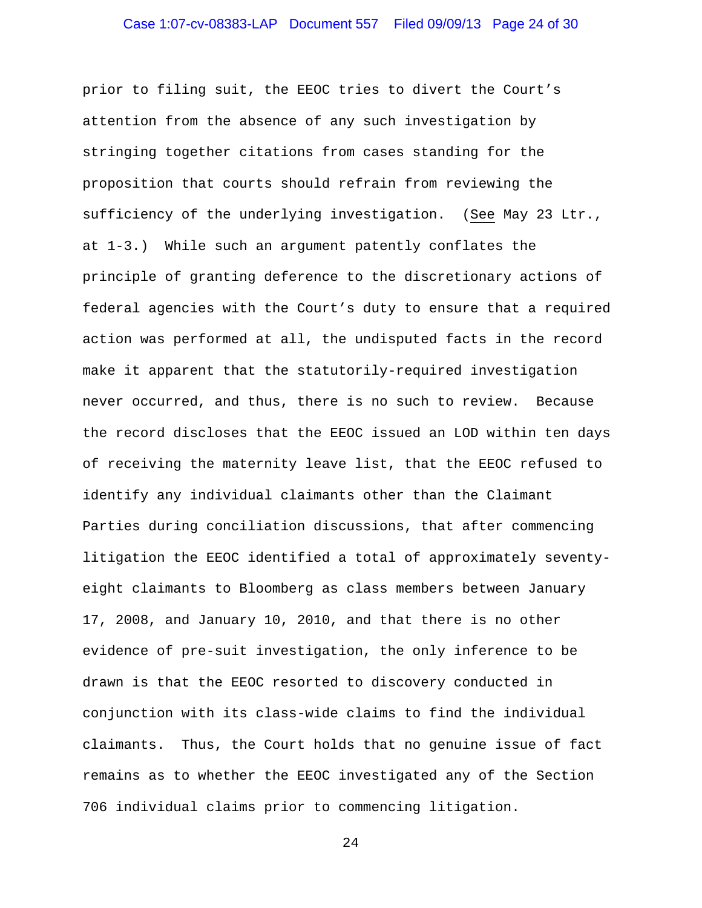prior to filing suit, the EEOC tries to divert the Court's attention from the absence of any such investigation by stringing together citations from cases standing for the proposition that courts should refrain from reviewing the sufficiency of the underlying investigation. (See May 23 Ltr., at 1-3.) While such an argument patently conflates the principle of granting deference to the discretionary actions of federal agencies with the Court's duty to ensure that a required action was performed at all, the undisputed facts in the record make it apparent that the statutorily-required investigation never occurred, and thus, there is no such to review. Because the record discloses that the EEOC issued an LOD within ten days of receiving the maternity leave list, that the EEOC refused to identify any individual claimants other than the Claimant Parties during conciliation discussions, that after commencing litigation the EEOC identified a total of approximately seventyeight claimants to Bloomberg as class members between January 17, 2008, and January 10, 2010, and that there is no other evidence of pre-suit investigation, the only inference to be drawn is that the EEOC resorted to discovery conducted in conjunction with its class-wide claims to find the individual claimants. Thus, the Court holds that no genuine issue of fact remains as to whether the EEOC investigated any of the Section 706 individual claims prior to commencing litigation.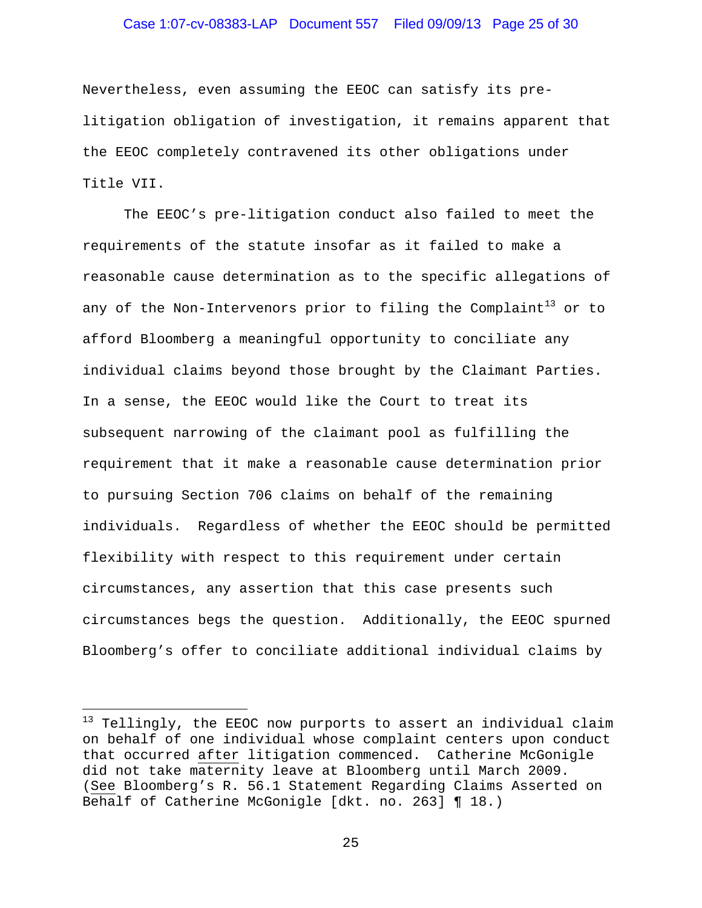# Case 1:07-cv-08383-LAP Document 557 Filed 09/09/13 Page 25 of 30

Nevertheless, even assuming the EEOC can satisfy its prelitigation obligation of investigation, it remains apparent that the EEOC completely contravened its other obligations under Title VII.

 The EEOC's pre-litigation conduct also failed to meet the requirements of the statute insofar as it failed to make a reasonable cause determination as to the specific allegations of any of the Non-Intervenors prior to filing the Complaint<sup>13</sup> or to afford Bloomberg a meaningful opportunity to conciliate any individual claims beyond those brought by the Claimant Parties. In a sense, the EEOC would like the Court to treat its subsequent narrowing of the claimant pool as fulfilling the requirement that it make a reasonable cause determination prior to pursuing Section 706 claims on behalf of the remaining individuals. Regardless of whether the EEOC should be permitted flexibility with respect to this requirement under certain circumstances, any assertion that this case presents such circumstances begs the question. Additionally, the EEOC spurned Bloomberg's offer to conciliate additional individual claims by

 $\overline{\phantom{0}}$ 

 $^{13}$  Tellingly, the EEOC now purports to assert an individual claim on behalf of one individual whose complaint centers upon conduct that occurred after litigation commenced. Catherine McGonigle did not take maternity leave at Bloomberg until March 2009. (See Bloomberg's R. 56.1 Statement Regarding Claims Asserted on Behalf of Catherine McGonigle [dkt. no. 263] ¶ 18.)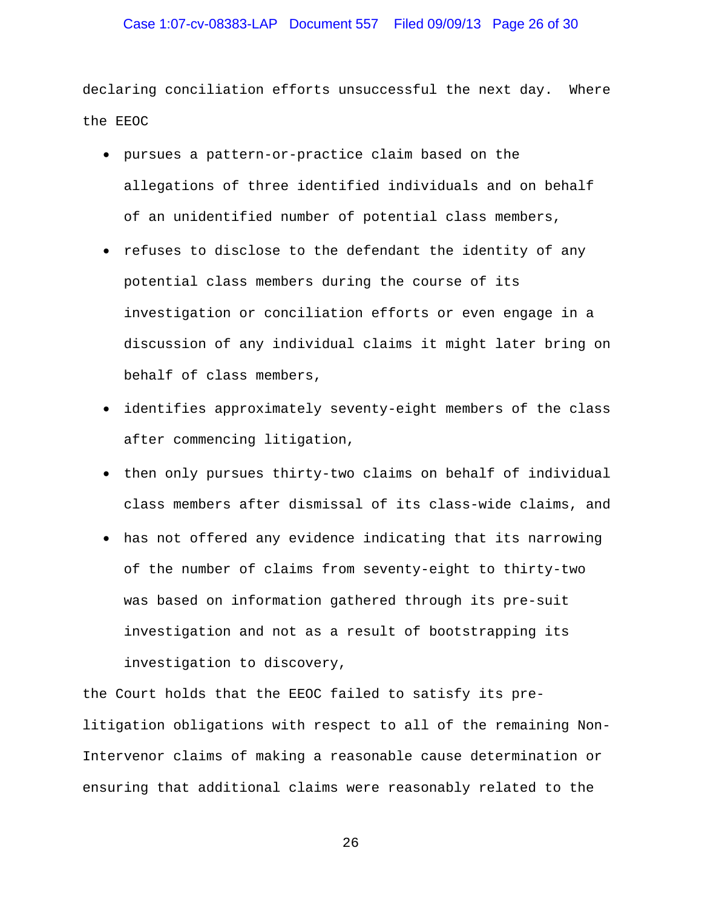# Case 1:07-cv-08383-LAP Document 557 Filed 09/09/13 Page 26 of 30

declaring conciliation efforts unsuccessful the next day. Where the EEOC

- pursues a pattern-or-practice claim based on the allegations of three identified individuals and on behalf of an unidentified number of potential class members,
- refuses to disclose to the defendant the identity of any potential class members during the course of its investigation or conciliation efforts or even engage in a discussion of any individual claims it might later bring on behalf of class members,
- identifies approximately seventy-eight members of the class after commencing litigation,
- then only pursues thirty-two claims on behalf of individual class members after dismissal of its class-wide claims, and
- has not offered any evidence indicating that its narrowing of the number of claims from seventy-eight to thirty-two was based on information gathered through its pre-suit investigation and not as a result of bootstrapping its investigation to discovery,

the Court holds that the EEOC failed to satisfy its prelitigation obligations with respect to all of the remaining Non-Intervenor claims of making a reasonable cause determination or ensuring that additional claims were reasonably related to the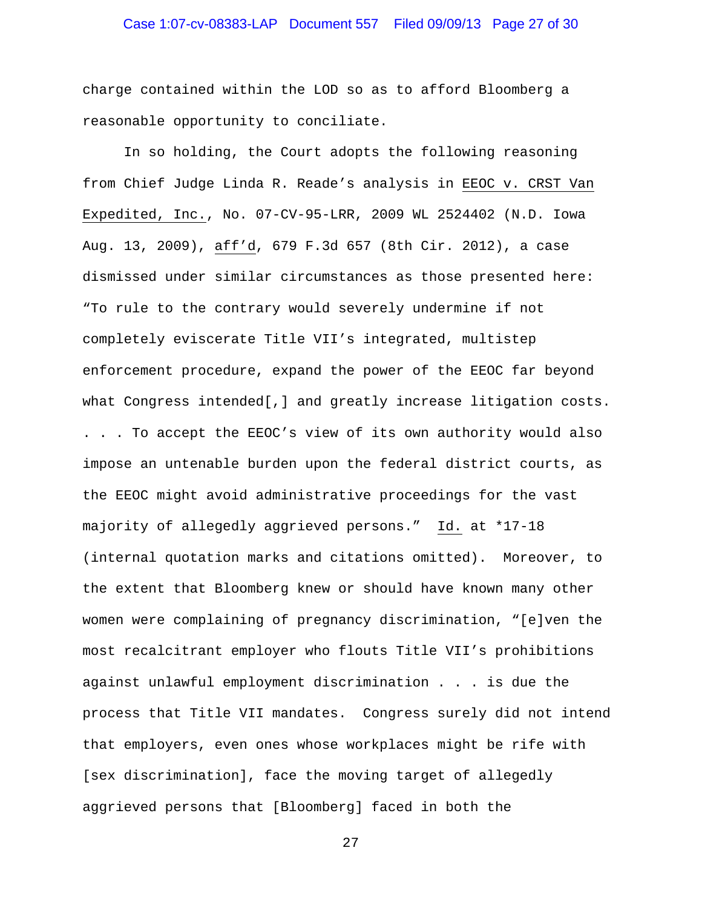# Case 1:07-cv-08383-LAP Document 557 Filed 09/09/13 Page 27 of 30

charge contained within the LOD so as to afford Bloomberg a reasonable opportunity to conciliate.

 In so holding, the Court adopts the following reasoning from Chief Judge Linda R. Reade's analysis in EEOC v. CRST Van Expedited, Inc., No. 07-CV-95-LRR, 2009 WL 2524402 (N.D. Iowa Aug. 13, 2009), aff'd, 679 F.3d 657 (8th Cir. 2012), a case dismissed under similar circumstances as those presented here: "To rule to the contrary would severely undermine if not completely eviscerate Title VII's integrated, multistep enforcement procedure, expand the power of the EEOC far beyond what Congress intended[,] and greatly increase litigation costs. . . . To accept the EEOC's view of its own authority would also impose an untenable burden upon the federal district courts, as the EEOC might avoid administrative proceedings for the vast majority of allegedly aggrieved persons." Id. at \*17-18 (internal quotation marks and citations omitted). Moreover, to the extent that Bloomberg knew or should have known many other women were complaining of pregnancy discrimination, "[e]ven the most recalcitrant employer who flouts Title VII's prohibitions against unlawful employment discrimination . . . is due the process that Title VII mandates. Congress surely did not intend that employers, even ones whose workplaces might be rife with [sex discrimination], face the moving target of allegedly aggrieved persons that [Bloomberg] faced in both the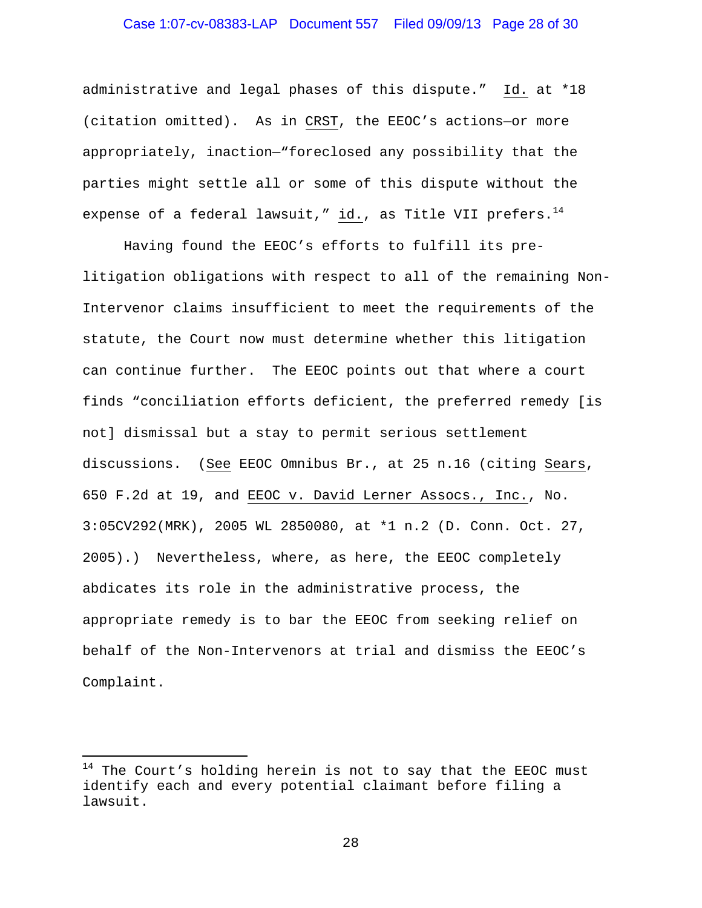# Case 1:07-cv-08383-LAP Document 557 Filed 09/09/13 Page 28 of 30

administrative and legal phases of this dispute." Id. at \*18 (citation omitted). As in CRST, the EEOC's actions—or more appropriately, inaction—"foreclosed any possibility that the parties might settle all or some of this dispute without the expense of a federal lawsuit," id., as Title VII prefers. $^{14}$ 

 Having found the EEOC's efforts to fulfill its prelitigation obligations with respect to all of the remaining Non-Intervenor claims insufficient to meet the requirements of the statute, the Court now must determine whether this litigation can continue further. The EEOC points out that where a court finds "conciliation efforts deficient, the preferred remedy [is not] dismissal but a stay to permit serious settlement discussions. (See EEOC Omnibus Br., at 25 n.16 (citing Sears, 650 F.2d at 19, and EEOC v. David Lerner Assocs., Inc., No. 3:05CV292(MRK), 2005 WL 2850080, at \*1 n.2 (D. Conn. Oct. 27, 2005).) Nevertheless, where, as here, the EEOC completely abdicates its role in the administrative process, the appropriate remedy is to bar the EEOC from seeking relief on behalf of the Non-Intervenors at trial and dismiss the EEOC's Complaint.

 $\overline{\phantom{0}}$ 

 $14$  The Court's holding herein is not to say that the EEOC must identify each and every potential claimant before filing a lawsuit.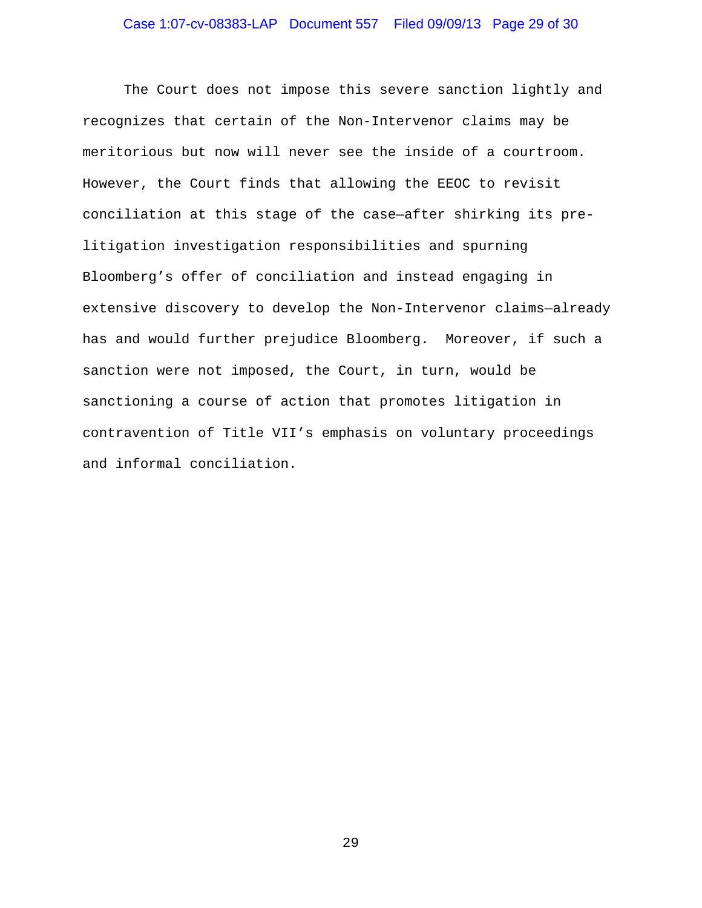The Court does not impose this severe sanction lightly and recognizes that certain of the Non-Intervenor claims may be meritorious but now will never see the inside of a courtroom. However, the Court finds that allowing the EEOC to revisit conciliation at this stage of the case—after shirking its prelitigation investigation responsibilities and spurning Bloomberg's offer of conciliation and instead engaging in extensive discovery to develop the Non-Intervenor claims—already has and would further prejudice Bloomberg. Moreover, if such a sanction were not imposed, the Court, in turn, would be sanctioning a course of action that promotes litigation in contravention of Title VII's emphasis on voluntary proceedings and informal conciliation.